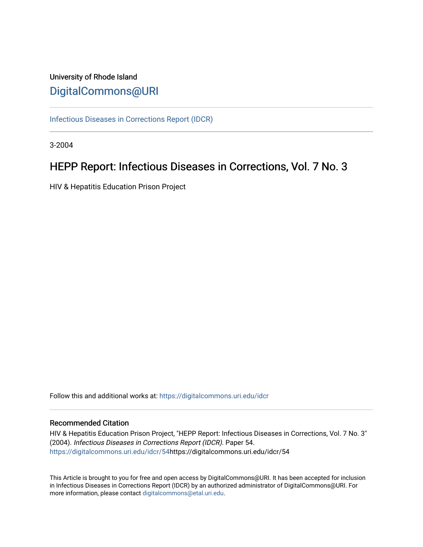# University of Rhode Island [DigitalCommons@URI](https://digitalcommons.uri.edu/)

[Infectious Diseases in Corrections Report \(IDCR\)](https://digitalcommons.uri.edu/idcr)

3-2004

# HEPP Report: Infectious Diseases in Corrections, Vol. 7 No. 3

HIV & Hepatitis Education Prison Project

Follow this and additional works at: [https://digitalcommons.uri.edu/idcr](https://digitalcommons.uri.edu/idcr?utm_source=digitalcommons.uri.edu%2Fidcr%2F54&utm_medium=PDF&utm_campaign=PDFCoverPages)

## Recommended Citation

HIV & Hepatitis Education Prison Project, "HEPP Report: Infectious Diseases in Corrections, Vol. 7 No. 3" (2004). Infectious Diseases in Corrections Report (IDCR). Paper 54. [https://digitalcommons.uri.edu/idcr/54h](https://digitalcommons.uri.edu/idcr/54?utm_source=digitalcommons.uri.edu%2Fidcr%2F54&utm_medium=PDF&utm_campaign=PDFCoverPages)ttps://digitalcommons.uri.edu/idcr/54

This Article is brought to you for free and open access by DigitalCommons@URI. It has been accepted for inclusion in Infectious Diseases in Corrections Report (IDCR) by an authorized administrator of DigitalCommons@URI. For more information, please contact [digitalcommons@etal.uri.edu.](mailto:digitalcommons@etal.uri.edu)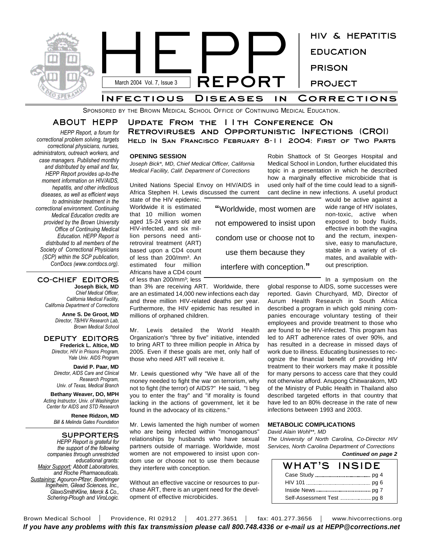

SPONSORED BY THE BROWN MEDICAL SCHOOL OFFICE OF CONTINUING MEDICAL EDUCATION.

## **ABOUT HEPP**

*HEPP Report, a forum for correctional problem solving, targets correctional physicians, nurses, administrators, outreach workers, and case managers. Published monthly and distributed by email and fax, HEPP Report provides up-to-the moment information on HIV/AIDS, hepatitis, and other infectious diseases, as well as efficient ways to administer treatment in the correctional environment. Continuing Medical Education credits are provided by the Brown University Office of Continuing Medical Education. HEPP Report is distributed to all members of the Society of Correctional Physicians (SCP) within the SCP publication, CorrDocs (www.corrdocs.org).*

### **CO-CHIEF EDITORS Joseph Bick, MD**

*Chief Medical Officer, California Medical Facility, California Department of Corrections*

> **Anne S. De Groot, MD** *Director, TB/HIV Research Lab, Brown Medical School*

### **DEPUTY EDITORS Frederick L. Altice, MD**

*Director, HIV in Prisons Program, Yale Univ. AIDS Program*

**David P. Paar, MD** *Director, AIDS Care and Clinical Research Program, Univ. of Texas, Medical Branch*

**Bethany Weaver, DO, MPH** *Acting Instructor, Univ. of Washington Center for AIDS and STD Research*

> **Renee Ridzon, MD** *Bill & Melinda Gates Foundation*

**SUPPORTERS** *HEPP Report is grateful for the support of the following companies through unrestricted educational grants: Major Support: Abbott Laboratories, and Roche Pharmaceuticals. Sustaining: Agouron-Pfizer, Boehringer Ingelheim, Gilead Sciences, Inc., GlaxoSmithKline, Merck & Co., Schering-Plough and ViroLogic.*

**Update From the 11th Conference On Retroviruses and Opportunistic Infections (CROI) Held In San Francisco February 8-11 2004: First of Two Parts**

**"**Worldwide, most women are

not empowered to insist upon

condom use or choose not to

use them because they

interfere with conception.**"**

### **OPENING SESSION**

*Joseph Bick\*, MD, Chief Medical Officer, California Medical Facility, Calif. Department of Corrections*

United Nations Special Envoy on HIV/AIDS in Africa Stephen H. Lewis discussed the current

state of the HIV epidemic. Worldwide it is estimated that 10 million women aged 15-24 years old are HIV-infected, and six million persons need antiretroviral treatment (ART) based upon a CD4 count of less than 200/mm<sup>3</sup>. An estimated four million Africans have a CD4 count of less than 200/mm<sup>3</sup>; less

than 3% are receiving ART. Worldwide, there are an estimated 14,000 new infections each day and three million HIV-related deaths per year. Furthermore, the HIV epidemic has resulted in millions of orphaned children.

Mr. Lewis detailed the World Health Organization's "three by five" initiative, intended to bring ART to three million people in Africa by 2005. Even if these goals are met, only half of those who need ART will receive it.

Mr. Lewis questioned why "We have all of the money needed to fight the war on terrorism, why not to fight (the terror) of AIDS?" He said, "I beg you to enter the fray" and "if morality is found lacking in the actions of government, let it be found in the advocacy of its citizens."

Mr. Lewis lamented the high number of women who are being infected within "monogamous" relationships by husbands who have sexual partners outside of marriage. Worldwide, most women are not empowered to insist upon condom use or choose not to use them because they interfere with conception.

Without an effective vaccine or resources to purchase ART, there is an urgent need for the development of effective microbicides.

Robin Shattock of St Georges Hospital and Medical School in London, further elucidated this topic in a presentation in which he described how a marginally effective microbicide that is used only half of the time could lead to a significant decline in new infections. A useful product

would be active against a wide range of HIV isolates, non-toxic, active when exposed to body fluids, effective in both the vagina and the rectum, inexpensive, easy to manufacture, stable in a variety of climates, and available without prescription.

In a symposium on the global response to AIDS, some successes were reported. Gavin Churchyard, MD, Director of Aurum Health Research in South Africa described a program in which gold mining companies encourage voluntary testing of their employees and provide treatment to those who are found to be HIV-infected. This program has led to ART adherence rates of over 90%, and has resulted in a decrease in missed days of work due to illness. Educating businesses to recognize the financial benefit of providing HIV treatment to their workers may make it possible for many persons to access care that they could not otherwise afford. Anupong Chitwarakorn, MD of the Ministry of Public Health in Thailand also described targeted efforts in that country that have led to an 80% decrease in the rate of new infections between 1993 and 2003.

### **METABOLIC COMPLICATIONS**

*David Alain Wohl\*\*, MD*

*The University of North Carolina, Co-Director HIV Services, North Carolina Department of Corrections Continued on page 2*

| Commued on page 2 |  |  |
|-------------------|--|--|
|                   |  |  |

| WHAT'S | INSIDE |
|--------|--------|
|        |        |
|        |        |
|        |        |
|        |        |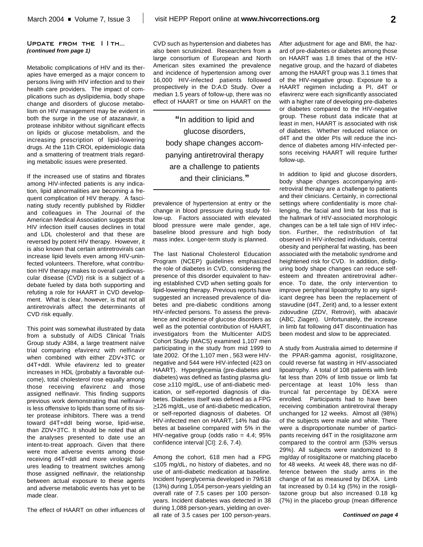### **Update from the 11th...** *(continued from page 1)*

Metabolic complications of HIV and its therapies have emerged as a major concern to persons living with HIV infection and to their health care providers. The impact of complications such as dyslipidemia, body shape change and disorders of glucose metabolism on HIV management may be evident in both the surge in the use of atazanavir, a protease inhibitor without significant effects on lipids or glucose metabolism, and the increasing prescription of lipid-lowering drugs. At the 11th CROI, epidemiologic data and a smattering of treatment trials regarding metabolic issues were presented.

If the increased use of statins and fibrates among HIV-infected patients is any indication, lipid abnormalities are becoming a frequent complication of HIV therapy. A fascinating study recently published by Riddler and colleagues in The Journal of the American Medical Association suggests that HIV infection itself causes declines in total and LDL cholesterol and that these are reversed by potent HIV therapy. However, it is also known that certain antiretrovirals can increase lipid levels even among HIV-uninfected volunteers. Therefore, what contribution HIV therapy makes to overall cardiovascular disease (CVD) risk is a subject of a debate fueled by data both supporting and refuting a role for HAART in CVD development. What is clear, however, is that not all antiretrovirals affect the determinants of CVD risk equally.

This point was somewhat illustrated by data from a substudy of AIDS Clinical Trials Group study A384, a large treatment naïve trial comparing efavirenz with nelfinavir when combined with either ZDV+3TC or d4T+ddI. While efavirenz led to greater increases in HDL (probably a favorable outcome), total cholesterol rose equally among those receiving efavirenz and those assigned nelfinavir. This finding supports previous work demonstrating that nelfinavir is less offensive to lipids than some of its sister protease inhibitors. There was a trend toward d4T+ddI being worse, lipid-wise, than ZDV+3TC. It should be noted that all the analyses presented to date use an intent-to-treat approach. Given that there were more adverse events among those receiving d4T+ddI and more virologic failures leading to treatment switches among those assigned nelfinavir, the relationship between actual exposure to these agents and adverse metabolic events has yet to be made clear.

The effect of HAART on other influences of

CVD such as hypertension and diabetes has also been scrutinized. Researchers from a large consortium of European and North American sites examined the prevalence and incidence of hypertension among over 16,000 HIV-infected patients followed prospectively in the D:A:D Study. Over a median 1.5 years of follow-up, there was no effect of HAART or time on HAART on the

**"**In addition to lipid and glucose disorders, body shape changes accompanying antiretroviral therapy are a challenge to patients and their clinicians.**"**

prevalence of hypertension at entry or the change in blood pressure during study follow-up. Factors associated with elevated blood pressure were male gender, age, baseline blood pressure and high body mass index. Longer-term study is planned.

The last National Cholesterol Education Program (NCEP) guidelines emphasized the role of diabetes in CVD, considering the presence of this disorder equivalent to having established CVD when setting goals for lipid-lowering therapy. Previous reports have suggested an increased prevalence of diabetes and pre-diabetic conditions among HIV-infected persons. To assess the prevalence and incidence of glucose disorders as well as the potential contribution of HAART, investigators from the Multicenter AIDS Cohort Study (MACS) examined 1,107 men participating in the study from mid 1999 to late 2002. Of the 1,107 men , 563 were HIVnegative and 544 were HIV-infected (423 on HAART). Hyperglycemia (pre-diabetes and diabetes) was defined as fasting plasma glucose >110 mg/dL, use of anti-diabetic medication, or self-reported diagnosis of diabetes. Diabetes itself was defined as a FPG ≥126 mg/dL, use of anti-diabetic medication, or self-reported diagnosis of diabetes. Of HIV-infected men on HAART, 14% had diabetes at baseline compared with 5% in the HIV-negative group (odds ratio  $= 4.4$ ; 95% confidence interval [CI]: 2.6, 7.4).

Among the cohort, 618 men had a FPG <105 mg/dL, no history of diabetes, and no use of anti-diabetic medication at baseline. Incident hyperglycemia developed in 79/618 (13%) during 1,054 person-years yielding an overall rate of 7.5 cases per 100 personyears. Incident diabetes was detected in 38 during 1,088 person-years, yielding an overall rate of 3.5 cases per 100 person-years.

After adjustment for age and BMI, the hazard of pre-diabetes or diabetes among those on HAART was 1.8 times that of the HIVnegative group, and the hazard of diabetes among the HAART group was 3.1 times that of the HIV-negative group. Exposure to a HAART regimen including a PI, d4T or efavirenz were each significantly associated with a higher rate of developing pre-diabetes or diabetes compared to the HIV-negative group. These robust data indicate that at least in men, HAART is associated with risk of diabetes. Whether reduced reliance on d4T and the older PIs will reduce the incidence of diabetes among HIV-infected persons receiving HAART will require further follow-up.

In addition to lipid and glucose disorders, body shape changes accompanying antiretroviral therapy are a challenge to patients and their clinicians. Certainly, in correctional settings where confidentiality is more challenging, the facial and limb fat loss that is the hallmark of HIV-associated morphologic changes can be a tell tale sign of HIV infection. Further, the redistribution of fat observed in HIV-infected individuals, central obesity and peripheral fat wasting, has been associated with the metabolic syndrome and heightened risk for CVD. In addition, disfiguring body shape changes can reduce selfesteem and threaten antiretroviral adherence. To date, the only intervention to improve peripheral lipoatrophy to any significant degree has been the replacement of stavudine (d4T, Zerit) and, to a lesser extent zidovudine (ZDV, Retrovir), with abacavir (ABC, Ziagen). Unfortunately, the increase in limb fat following d4T discontinuation has been modest and slow to be appreciated.

A study from Australia aimed to determine if the PPAR-gamma agonist, rosiglitazone, could reverse fat wasting in HIV-associated lipoatrophy. A total of 108 patients with limb fat less than 20% of limb tissue or limb fat percentage at least 10% less than truncal fat percentage by DEXA were enrolled. Participants had to have been receiving combination antiretroviral therapy unchanged for 12 weeks. Almost all (98%) of the subjects were male and white. There were a disproportionate number of participants receiving d4T in the rosiglitazone arm compared to the control arm (53% versus 29%). All subjects were randomized to 8 mg/day of rosiglitazone or matching placebo for 48 weeks. At week 48, there was no difference between the study arms in the change of fat as measured by DEXA. Limb fat increased by 0.14 kg (5%) in the rosiglitazone group but also increased 0.18 kg (7%) in the placebo group (mean difference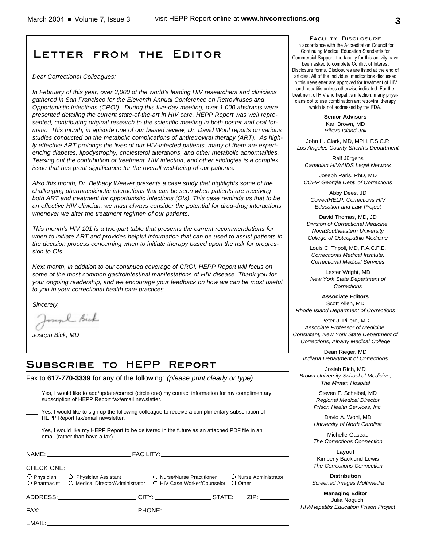## **Letter from the Editor**

*Dear Correctional Colleagues:*

*In February of this year, over 3,000 of the world's leading HIV researchers and clinicians gathered in San Francisco for the Eleventh Annual Conference on Retroviruses and Opportunistic Infections (CROI). During this five-day meeting, over 1,000 abstracts were presented detailing the current state-of-the-art in HIV care. HEPP Report was well represented, contributing original research to the scientific meeting in both poster and oral formats. This month, in episode one of our biased review, Dr. David Wohl reports on various studies conducted on the metabolic complications of antiretroviral therapy (ART). As highly effective ART prolongs the lives of our HIV-infected patients, many of them are experiencing diabetes, lipodystrophy, cholesterol alterations, and other metabolic abnormalities. Teasing out the contribution of treatment, HIV infection, and other etiologies is a complex issue that has great significance for the overall well-being of our patients.* 

*Also this month, Dr. Bethany Weaver presents a case study that highlights some of the challenging pharmacokinetic interactions that can be seen when patients are receiving both ART and treatment for opportunistic infections (OIs). This case reminds us that to be an effective HIV clinician, we must always consider the potential for drug-drug interactions whenever we alter the treatment regimen of our patients.*

*This month's HIV 101 is a two-part table that presents the current recommendations for when to initiate ART and provides helpful information that can be used to assist patients in the decision process concerning when to initiate therapy based upon the risk for progression to OIs.* 

*Next month, in addition to our continued coverage of CROI, HEPP Report will focus on some of the most common gastrointestinal manifestations of HIV disease. Thank you for your ongoing readership, and we encourage your feedback on how we can be most useful to you in your correctional health care practices.* 

*Sincerely,*

myl Bick

*Joseph Bick, MD*

## **Subscribe to HEPP Report**

Fax to **617-770-3339** for any of the following: *(please print clearly or type)*

| Yes, I would like to add/update/correct (circle one) my contact information for my complimentary<br>subscription of HEPP Report fax/email newsletter. |                                                                                                                                           |  |                                  |
|-------------------------------------------------------------------------------------------------------------------------------------------------------|-------------------------------------------------------------------------------------------------------------------------------------------|--|----------------------------------|
| Yes, I would like to sign up the following colleague to receive a complimentary subscription of<br>HEPP Report fax/email newsletter.                  |                                                                                                                                           |  |                                  |
|                                                                                                                                                       | Yes, I would like my HEPP Report to be delivered in the future as an attached PDF file in an<br>email (rather than have a fax).           |  |                                  |
|                                                                                                                                                       |                                                                                                                                           |  |                                  |
| CHECK ONE:                                                                                                                                            |                                                                                                                                           |  |                                  |
|                                                                                                                                                       | O Physician C Physician Assistant C Nurse/Nurse Practitioner<br>O Pharmacist O Medical Director/Administrator O HIV Case Worker/Counselor |  | O Nurse Administrator<br>O Other |
|                                                                                                                                                       | ADDRESS:___________________________CITY: ___________________STATE: ____ ZIP: ________                                                     |  |                                  |
|                                                                                                                                                       |                                                                                                                                           |  |                                  |
|                                                                                                                                                       |                                                                                                                                           |  |                                  |

EMAIL:

**Faculty Disclosure**

In accordance with the Accreditation Council for Continuing Medical Education Standards for Commercial Support, the faculty for this activity have been asked to complete Conflict of Interest Disclosure forms. Disclosures are listed at the end of articles. All of the individual medications discussed in this newsletter are approved for treatment of HIV and hepatitis unless otherwise indicated. For the treatment of HIV and hepatitis infection, many physicians opt to use combination antiretroviral therapy which is not addressed by the FDA.

> **Senior Advisors** Karl Brown, MD *Rikers Island Jail*

John H. Clark, MD, MPH, F.S.C.P. *Los Angeles County Sheriff's Department*

Ralf Jürgens *Canadian HIV/AIDS Legal Network*

Joseph Paris, PhD, MD *CCHP Georgia Dept. of Corrections*

Abby Dees, JD *CorrectHELP: Corrections HIV Education and Law Project*

David Thomas, MD, JD *Division of Correctional Medicine, NovaSoutheastern University College of Osteopathic Medicine*

Louis C. Tripoli, MD, F.A.C.F.E. *Correctional Medical Institute, Correctional Medical Services*

Lester Wright, MD *New York State Department of Corrections*

**Associate Editors** Scott Allen, MD *Rhode Island Department of Corrections*

Peter J. Piliero, MD *Associate Professor of Medicine, Consultant, New York State Department of Corrections, Albany Medical College*

Dean Rieger, MD *Indiana Department of Corrections*

Josiah Rich, MD *Brown University School of Medicine, The Miriam Hospital*

> Steven F. Scheibel, MD *Regional Medical Director Prison Health Services, Inc.*

> David A. Wohl, MD *University of North Carolina*

> Michelle Gaseau *The Corrections Connection*

> **Layout** Kimberly Backlund-Lewis *The Corrections Connection*

**Distribution** *Screened Images Multimedia*

**Managing Editor** Julia Noguchi *HIV/Hepatitis Education Prison Project*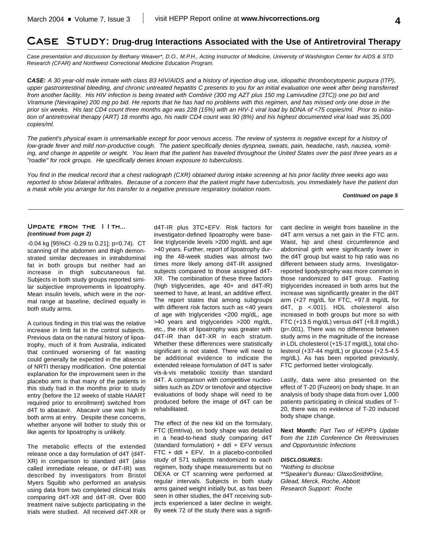## **Case Study: Drug-drug Interactions Associated with the Use of Antiretroviral Therapy**

*Case presentation and discussion by Bethany Weaver\*, D.O., M.P.H., Acting Instructor of Medicine, University of Washington Center for AIDS & STD Research (CFAR) and Northwest Correctional Medicine Education Program.*

*CASE: A 30 year-old male inmate with class B3 HIV/AIDS and a history of injection drug use, idiopathic thrombocytopenic purpura (ITP), upper gastrointestinal bleeding, and chronic untreated hepatitis C presents to you for an initial evaluation one week after being transferred from another facility. His HIV infection is being treated with Combivir (300 mg AZT plus 150 mg Lamivudine (3TC)) one po bid and Viramune (Nevirapine) 200 mg po bid. He reports that he has had no problems with this regimen, and has missed only one dose in the prior six weeks. His last CD4 count three months ago was 228 (15%) with an HIV-1 viral load by bDNA of <75 copies/ml. Prior to initiation of antiretroviral therapy (ART) 18 months ago, his nadir CD4 count was 90 (8%) and his highest documented viral load was 35,000 copies/ml.* 

*The patient's physical exam is unremarkable except for poor venous access. The review of systems is negative except for a history of low-grade fever and mild non-productive cough. The patient specifically denies dyspnea, sweats, pain, headache, rash, nausea, vomiting, and change in appetite or weight. You learn that the patient has traveled throughout the United States over the past three years as a "roadie" for rock groups. He specifically denies known exposure to tuberculosis.*

*You find in the medical record that a chest radiograph (CXR) obtained during intake screening at his prior facility three weeks ago was reported to show bilateral infiltrates. Because of a concern that the patient might have tuberculosis, you immediately have the patient don a mask while you arrange for his transfer to a negative pressure respiratory isolation room.* 

*Continued on page 5*

### **Update from the 11th...** *(continued from page 2)*

-0.04 kg [95%CI -0.29 to 0.21]; p=0.74). CT scanning of the abdomen and thigh demonstrated similar decreases in intrabdominal fat in both groups but neither had an increase in thigh subcutaneous fat. Subjects in both study groups reported similar subjective improvements in lipoatrophy. Mean insulin levels, which were in the normal range at baseline, declined equally in both study arms.

A curious finding in this trial was the relative increase in limb fat in the control subjects. Previous data on the natural history of lipoatrophy, much of it from Australia, indicated that continued worsening of fat wasting could generally be expected in the absence of NRTI therapy modification. One potential explanation for the improvement seen in the placebo arm is that many of the patients in this study had in the months prior to study entry (before the 12 weeks of stable HAART required prior to enrollment) switched from d4T to abacavir. Abacavir use was high in both arms at entry. Despite these concerns, whether anyone will bother to study this or like agents for lipoatrophy is unlikely.

The metabolic effects of the extended release once a day formulation of d4T (d4T-XR) in comparison to standard d4T (also called immediate release, or d4T-IR) was described by investigators from Bristol Myers Squibb who performed an analysis using data from two completed clinical trials comparing d4T-XR and d4T-IR. Over 800 treatment naïve subjects participating in the trials were studied. All received d4T-XR or

d4T-IR plus 3TC+EFV. Risk factors for investigator-defined lipoatrophy were baseline triglyceride levels >200 mg/dL and age >40 years. Further, report of lipoatrophy during the 48-week studies was almost two times more likely among d4T-IR assigned subjects compared to those assigned d4T-XR. The combination of these three factors (high triglycerides, age 40+ and d4T-IR) seemed to have, at least, an additive effect. The report states that among subgroups with different risk factors such as <40 years of age with triglycerides <200 mg/dL, age >40 years and triglycerides >200 mg/dL, etc., the risk of lipoatrophy was greater with d4T-IR than d4T-XR in each stratum. Whether these differences were statistically significant is not stated. There will need to be additional evidence to indicate the extended release formulation of d4T is safer vis-à-vis metabolic toxicity than standard d4T. A comparison with competitive nucleosides such as ZDV or tenofovir and objective evaluations of body shape will need to be produced before the image of d4T can be rehabilitated.

The effect of the new kid on the formulary, FTC (Emtriva), on body shape was detailed in a head-to-head study comparing d4T (standard formulation) + ddI + EFV versus FTC + ddI + EFV. In a placebo-controlled study of 571 subjects randomized to each regimen, body shape measurements but no DEXA or CT scanning were performed at regular intervals. Subjects in both study arms gained weight initially but, as has been seen in other studies, the d4T receiving subjects experienced a later decline in weight. By week 72 of the study there was a significant decline in weight from baseline in the d4T arm versus a net gain in the FTC arm. Waist, hip and chest circumference and abdominal girth were significantly lower in the d4T group but waist to hip ratio was no different between study arms. Investigatorreported lipodystrophy was more common in those randomized to d4T group. Fasting triglycerides increased in both arms but the increase was significantly greater in the d4T arm (+27 mg/dL for FTC, +97.8 mg/dL for d4T, p <.001). HDL cholesterol also increased in both groups but more so with FTC (+13.5 mg/dL) versus d4T (+8.8 mg/dL) (p=.001). There was no difference between study arms in the magnitude of the increase in LDL cholesterol (+15-17 mg/dL), total cholesterol (+37-44 mg/dL) or glucose (+2.5-4.5 mg/dL). As has been reported previously, FTC performed better virologically.

Lastly, data were also presented on the effect of T-20 (Fuzeon) on body shape. In an analysis of body shape data from over 1,000 patients participating in clinical studies of T-20, there was no evidence of T-20 induced body shape change.

**Next Month:** *Part Two of HEPP's Update from the 11th Conference On Retroviruses and Opportunistic Infections*

### *DISCLOSURES:*

*\*Nothing to disclose \*\*Speaker's Bureau: GlaxoSmithKline, Gilead, Merck, Roche, Abbott Research Support: Roche*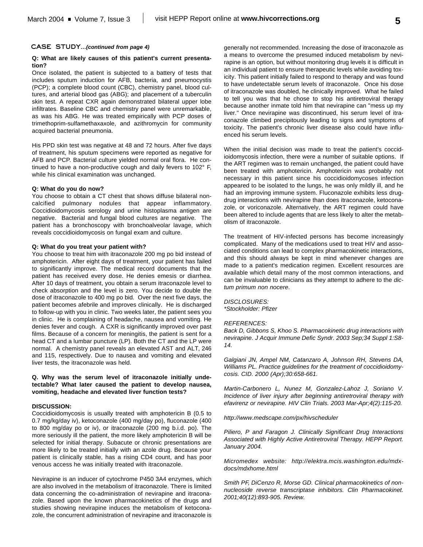### **Q: What are likely causes of this patient's current presentation?**

Once isolated, the patient is subjected to a battery of tests that includes sputum induction for AFB, bacteria, and pneumocystis (PCP); a complete blood count (CBC), chemistry panel, blood cultures, and arterial blood gas (ABG); and placement of a tuberculin skin test. A repeat CXR again demonstrated bilateral upper lobe infiltrates. Baseline CBC and chemistry panel were unremarkable, as was his ABG. He was treated empirically with PCP doses of trimethoprim-sulfamethaxaxole, and azithromycin for community acquired bacterial pneumonia.

His PPD skin test was negative at 48 and 72 hours. After five days of treatment, his sputum specimens were reported as negative for AFB and PCP. Bacterial culture yielded normal oral flora. He continued to have a non-productive cough and daily fevers to 102° F, while his clinical examination was unchanged.

### **Q: What do you do now?**

You choose to obtain a CT chest that shows diffuse bilateral noncalcified pulmonary nodules that appear inflammatory. Coccidioidomycosis serology and urine histoplasma antigen are negative. Bacterial and fungal blood cultures are negative. The patient has a bronchoscopy with bronchoalveolar lavage, which reveals coccidioidomycosis on fungal exam and culture.

### **Q: What do you treat your patient with?**

You choose to treat him with itraconazole 200 mg po bid instead of amphotericin. After eight days of treatment, your patient has failed to significantly improve. The medical record documents that the patient has received every dose. He denies emesis or diarrhea. After 10 days of treatment, you obtain a serum itraconazole level to check absorption and the level is zero. You decide to double the dose of itraconazole to 400 mg po bid. Over the next five days, the patient becomes afebrile and improves clinically. He is discharged to follow-up with you in clinic. Two weeks later, the patient sees you in clinic. He is complaining of headache, nausea and vomiting. He denies fever and cough. A CXR is significantly improved over past films. Because of a concern for meningitis, the patient is sent for a head CT and a lumbar puncture (LP). Both the CT and the LP were normal. A chemistry panel reveals an elevated AST and ALT, 246 and 115, respectively. Due to nausea and vomiting and elevated liver tests, the itraconazole was held.

### **Q. Why was the serum level of itraconazole initially undetectable? What later caused the patient to develop nausea, vomiting, headache and elevated liver function tests?**

### **DISCUSSION:**

Coccidioidomycosis is usually treated with amphotericin B (0.5 to 0.7 mg/kg/day iv), ketoconazole (400 mg/day po), fluconazole (400 to 800 mg/day po or iv), or itraconazole (200 mg b.i.d. po). The more seriously ill the patient, the more likely amphotericin B will be selected for initial therapy. Subacute or chronic presentations are more likely to be treated initially with an azole drug. Because your patient is clinically stable, has a rising CD4 count, and has poor venous access he was initially treated with itraconazole.

Nevirapine is an inducer of cytochrome P450 3A4 enzymes, which are also involved in the metabolism of itraconazole. There is limited data concerning the co-administration of nevirapine and itraconazole. Based upon the known pharmacokinetics of the drugs and studies showing nevirapine induces the metabolism of ketoconazole, the concurrent administration of nevirapine and itraconazole is

generally not recommended. Increasing the dose of itraconazole as a means to overcome the presumed induced metabolism by nevirapine is an option, but without monitoring drug levels it is difficult in an individual patient to ensure therapeutic levels while avoiding toxicity. This patient initially failed to respond to therapy and was found to have undetectable serum levels of itraconazole. Once his dose of itraconazole was doubled, he clinically improved. What he failed to tell you was that he chose to stop his antiretroviral therapy because another inmate told him that nevirapine can "mess up my liver." Once nevirapine was discontinued, his serum level of itraconazole climbed precipitously leading to signs and symptoms of toxicity. The patient's chronic liver disease also could have influenced his serum levels.

When the initial decision was made to treat the patient's coccidioidomycosis infection, there were a number of suitable options. If the ART regimen was to remain unchanged, the patient could have been treated with amphotericin. Amphotericin was probably not necessary in this patient since his coccidioidomycoses infection appeared to be isolated to the lungs, he was only mildly ill, and he had an improving immune system. Fluconazole exhibits less drugdrug interactions with nevirapine than does itraconazole, ketoconazole, or voriconazole. Alternatively, the ART regimen could have been altered to include agents that are less likely to alter the metabolism of itraconazole.

The treatment of HIV-infected persons has become increasingly complicated. Many of the medications used to treat HIV and associated conditions can lead to complex pharmacokinetic interactions, and this should always be kept in mind whenever changes are made to a patient's medication regimen. Excellent resources are available which detail many of the most common interactions, and can be invaluable to clinicians as they attempt to adhere to the *dictum primum non nocere*.

*DISCLOSURES: \*Stockholder: Pfizer*

### *REFERENCES:*

*Back D, Gibbons S, Khoo S. Pharmacokinetic drug interactions with nevirapine. J Acquir Immune Defic Syndr. 2003 Sep;34 Suppl 1:S8- 14.*

*Galgiani JN, Ampel NM, Catanzaro A, Johnson RH, Stevens DA, Williams PL. Practice guidelines for the treatment of coccidioidomycosis. CID. 2000 (Apr);30:658-661.*

*Martin-Carbonero L, Nunez M, Gonzalez-Lahoz J, Soriano V. Incidence of liver injury after beginning antiretroviral therapy with efavirenz or nevirapine. HIV Clin Trials. 2003 Mar-Apr;4(2):115-20.*

*http://www.medscape.com/px/hivscheduler*

*Piliero, P and Faragon J. Clinically Significant Drug Interactions Associated with Highly Active Antiretroviral Therapy. HEPP Report. January 2004.*

*Micromedex website: http://elektra.mcis.washington.edu/mdxdocs/mdxhome.html*

*Smith PF, DiCenzo R, Morse GD. Clinical pharmacokinetics of nonnucleoside reverse transcriptase inhibitors. Clin Pharmacokinet. 2001;40(12):893-905. Review.*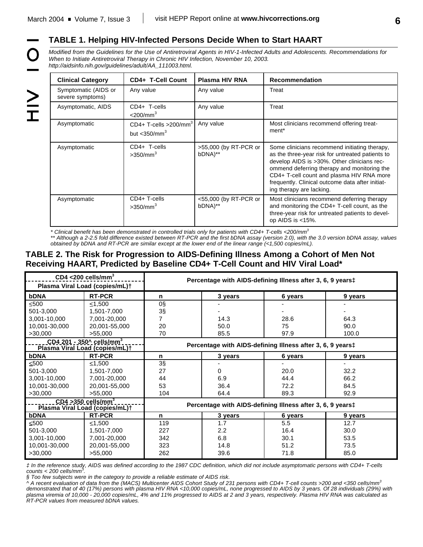$\geq$ 

## **TABLE 1. Helping HIV-Infected Persons Decide When to Start HAART**

*Modified from the Guidelines for the Use of Antiretroviral Agents in HIV-1-Infected Adults and Adolescents. Recommendations for When to Initiate Antiretroviral Therapy in Chronic HIV Infection, November 10, 2003. http://aidsinfo.nih.gov/guidelines/adult/AA\_111003.html.*

| <b>Clinical Category</b>                 | CD4+ T-Cell Count                                                  | <b>Plasma HIV RNA</b>               | <b>Recommendation</b>                                                                                                                                                                                                                                                                                                        |
|------------------------------------------|--------------------------------------------------------------------|-------------------------------------|------------------------------------------------------------------------------------------------------------------------------------------------------------------------------------------------------------------------------------------------------------------------------------------------------------------------------|
| Symptomatic (AIDS or<br>severe symptoms) | Any value                                                          | Any value                           | Treat                                                                                                                                                                                                                                                                                                                        |
| Asymptomatic, AIDS                       | CD4+ T-cells<br>$<$ 200/mm $3$                                     | Any value                           | Treat                                                                                                                                                                                                                                                                                                                        |
| Asymptomatic                             | $CD4+$ T-cells >200/mm <sup>3</sup><br>but $<$ 350/mm <sup>3</sup> | Any value                           | Most clinicians recommend offering treat-<br>ment <sup>*</sup>                                                                                                                                                                                                                                                               |
| Asymptomatic                             | CD4+ T-cells<br>>350/mm <sup>3</sup>                               | >55,000 (by RT-PCR or<br>bDNA)**    | Some clinicians recommend initiating therapy,<br>as the three-year risk for untreated patients to<br>develop AIDS is >30%. Other clinicians rec-<br>ommend deferring therapy and monitoring the<br>CD4+ T-cell count and plasma HIV RNA more<br>frequently. Clinical outcome data after initiat-<br>ing therapy are lacking. |
| Asymptomatic                             | CD4+ T-cells<br>>350/mm <sup>3</sup>                               | $<$ 55,000 (by RT-PCR or<br>bDNA)** | Most clinicians recommend deferring therapy<br>and monitoring the CD4+ T-cell count, as the<br>three-year risk for untreated patients to devel-<br>op AIDS is $<15\%$ .                                                                                                                                                      |

*\* Clinical benefit has been demonstrated in controlled trials only for patients with CD4+ T-cells <200/mm 3*

*\*\* Although a 2-2.5 fold difference existed between RT-PCR and the first bDNA assay (version 2.0), with the 3.0 version bDNA assay, values obtained by bDNA and RT-PCR are similar except at the lower end of the linear range (<1,500 copies/mL).*

## **TABLE 2. The Risk for Progression to AIDS-Defining Illness Among a Cohort of Men Not Receiving HAART, Predicted by Baseline CD4+ T-Cell Count and HIV Viral Load\***

| $CD4 < 200$ cells/mm <sup>3</sup><br>Plasma Viral Load (copies/mL)+           |               | Percentage with AIDS-defining Illness after 3, 6, 9 yearst |               |         |         |
|-------------------------------------------------------------------------------|---------------|------------------------------------------------------------|---------------|---------|---------|
| <b>bDNA</b>                                                                   | <b>RT-PCR</b> | n                                                          | 3 years       | 6 years | 9 years |
| $\leq 500$                                                                    | $<$ 1,500     | $\overline{0}$                                             |               |         |         |
| 501-3,000                                                                     | 1,501-7,000   | 3§                                                         |               |         |         |
| 3,001-10,000                                                                  | 7,001-20,000  |                                                            | 14.3          | 28.6    | 64.3    |
| 10,001-30,000                                                                 | 20,001-55,000 | 20                                                         | 50.0          | 75      | 90.0    |
| >30,000                                                                       | >55,000       | 70                                                         | 85.5          | 97.9    | 100.0   |
| <u> CD4 201 - 350^ cells/mm<sup>3</sup></u><br>Plasma Viral Load (copies/mL)+ |               | Percentage with AIDS-defining Illness after 3, 6, 9 years‡ |               |         |         |
| bDNA                                                                          | <b>RT-PCR</b> | n                                                          | 3 years       | 6 years | 9 years |
| $\leq 500$                                                                    | ≤1,500        | $3\S$                                                      |               |         |         |
| 501-3,000                                                                     | 1,501-7,000   | 27                                                         | 0             | 20.0    | 32.2    |
| 3,001-10,000                                                                  | 7,001-20,000  | 44                                                         | 6.9           | 44.4    | 66.2    |
| 10,001-30,000                                                                 | 20,001-55,000 | 53                                                         | 36.4          | 72.2    | 84.5    |
| >30,000                                                                       | >55,000       | 104                                                        | 64.4          | 89.3    | 92.9    |
| $CD4 > 350$ cells/mm <sup>3</sup><br>Plasma Viral Load (copies/mL)†           |               | Percentage with AIDS-defining Illness after 3, 6, 9 years‡ |               |         |         |
| bDNA                                                                          | <b>RT-PCR</b> | n                                                          | 3 years       | 6 years | 9 years |
| $\leq 500$                                                                    | $\leq$ 1.500  | 119                                                        | 1.7           | 5.5     | 12.7    |
| 501-3,000                                                                     | 1,501-7,000   | 227                                                        | $2.2^{\circ}$ | 16.4    | 30.0    |
| 3,001-10,000                                                                  | 7,001-20,000  | 342                                                        | 6.8           | 30.1    | 53.5    |
| 10,001-30,000                                                                 | 20,001-55,000 | 323                                                        | 14.8          | 51.2    | 73.5    |
| >30,000                                                                       | >55,000       | 262                                                        | 39.6          | 71.8    | 85.0    |

*‡ In the reference study, AIDS was defined according to the 1987 CDC definition, which did not include asymptomatic persons with CD4+ T-cells counts < 200 cells/mm 3 .* 

*§ Too few subjects were in the category to provide a reliable estimate of AIDS risk.*

*^ A recent evaluation of data from the (MACS) Multicenter AIDS Cohort Study of 231 persons with CD4+ T-cell counts >200 and <350 cells/mm 3 demonstrated that of 40 (17%) persons with plasma HIV RNA <10,000 copies/mL, none progressed to AIDS by 3 years. Of 28 individuals (29%) with plasma viremia of 10,000 - 20,000 copies/mL, 4% and 11% progressed to AIDS at 2 and 3 years, respectively. Plasma HIV RNA was calculated as RT-PCR values from measured bDNA values.*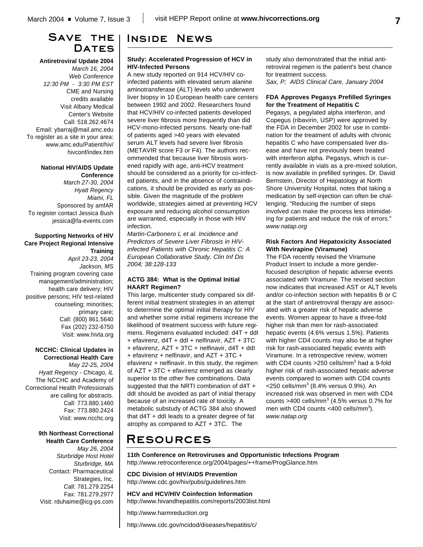## **Save the** DATES

**Antiretroviral Update 2004**

*March 16, 2004 Web Conference 12:30 PM - 3:30 PM EST* CME and Nursing credits available Visit Albany Medical Center's Website Call: 518.262.4674 Email: ybarraj@mail.amc.edu To register as a site in your area: www.amc.edu/Patient/hiv/ hivconf/index.htm

### **National HIV/AIDS Update Conference**

*March 27-30, 2004 Hyatt Regency Miami, FL* Sponsored by amfAR To register contact Jessica Bush jessica@fa-events.com

### **Supporting Networks of HIV Care Project Regional Intensive Training**

*April 23-23, 2004 Jackson, MS* Training program covering case management/administration; health care delivery; HIV positive persons; HIV test-related counseling; minorities; primary care; Call: (800) 861.5640 Fax (202) 232-6750 Visit: www.hivta.org

### **NCCHC: Clinical Updates in Correctional Health Care**

*May 22-25, 2004 Hyatt Regency - Chicago, IL* The NCCHC and Academy of Correctional Health Professionals are calling for abstracts. Call: 773.880.1460 Fax: 773.880.2424 Visit: www.ncchc.org

### **9th Northeast Correctional Health Care Conference**

*May 26, 2004 Sturbridge Host Hotel Sturbridge, MA* Contact: Pharmaceutical Strategies, Inc. Call: 781.279.2254 Fax: 781.279.2977 Visit: rduhaime@icg-ps.com

## **Inside News**

### **Study: Accelerated Progression of HCV in HIV-Infected Persons**

A new study reported on 914 HCV/HIV coinfected patients with elevated serum alanine aminotransferase (ALT) levels who underwent liver biopsy in 10 European health care centers between 1992 and 2002. Researchers found that HCV/HIV co-infected patients developed severe liver fibrosis more frequently than did HCV-mono-infected persons. Nearly one-half of patients aged >40 years with elevated serum ALT levels had severe liver fibrosis (METAVIR score F3 or F4). The authors recommended that because liver fibrosis worsened rapidly with age, anti-HCV treatment should be considered as a priority for co-infected patients, and in the absence of contraindications, it should be provided as early as possible. Given the magnitude of the problem worldwide, strategies aimed at preventing HCV exposure and reducing alcohol consumption are warranted, especially in those with HIV infection.

*Martin-Carbonero L et al. Incidence and Predictors of Severe Liver Fibrosis in HIVinfected Patients with Chronic Hepatitis C: A European Collaborative Study. Clin Inf Dis 2004; 38:128-133*

### **ACTG 384: What is the Optimal Initial HAART Regimen?**

This large, multicenter study compared six different initial treatment strategies in an attempt to determine the optimal initial therapy for HIV and whether some initial regimens increase the likelihood of treatment success with future regimens. Regimens evaluated included: d4T + ddI + efavirenz, d4T + ddI + nelfinavir, AZT + 3TC + efavirenz, AZT + 3TC + nelfinavir, d4T + ddI + efavirenz + nelfinavir, and AZT + 3TC + efavirenz + nelfinavir. In this study, the regimen of AZT + 3TC + efavirenz emerged as clearly superior to the other five combinations. Data suggested that the NRTI combination of d4T + ddI should be avoided as part of initial therapy because of an increased rate of toxicity. A metabolic substudy of ACTG 384 also showed that d4T + ddI leads to a greater degree of fat atrophy as compared to AZT + 3TC. The

study also demonstrated that the initial antiretroviral regimen is the patient's best chance for treatment success.

*Sax, P; AIDS Clinical Care, January 2004*

### **FDA Approves Pegasys Prefilled Syringes for the Treatment of Hepatitis C**

Pegasys, a pegylated alpha interferon, and Copegus (ribavirin, USP) were approved by the FDA in December 2002 for use in combination for the treatment of adults with chronic hepatitis C who have compensated liver disease and have not previously been treated with interferon alpha. Pegasys, which is currently available in vials as a pre-mixed solution, is now available in prefilled syringes. Dr. David Bernstein, Director of Hepatology at North Shore University Hospital, notes that taking a medication by self-injection can often be challenging. "Reducing the number of steps involved can make the process less intimidating for patients and reduce the risk of errors." *www.natap.org*

### **Risk Factors And Hepatoxicity Associated With Nevirapine (Viramune)**

The FDA recently revised the Viramune Product Insert to include a more genderfocused description of hepatic adverse events associated with Viramune. The revised section now indicates that increased AST or ALT levels and/or co-infection section with hepatitis B or C at the start of antiretroviral therapy are associated with a greater risk of hepatic adverse events. Women appear to have a three-fold higher risk than men for rash-associated hepatic events (4.6% versus 1.5%). Patients with higher CD4 counts may also be at higher risk for rash-associated hepatic events with Viramune. In a retrospective review, women with CD4 counts >250 cells/mm<sup>3</sup> had a 9-fold higher risk of rash-associated hepatic adverse events compared to women with CD4 counts  $<$ 250 cells/mm $^3$  (8.4% versus 0.9%). An increased risk was observed in men with CD4 counts >400 cells/mm $3$  (4.5% versus 0.7% for men with CD4 counts <400 cells/mm<sup>3</sup>). *www.natap.org*

# **Resources**

**11th Conference on Retroviruses and Opportunistic Infections Program** http://www.retroconference.org/2004/pages/++frame/ProgGlance.htm

**CDC Division of HIV/AIDS Prevention** http://www.cdc.gov/hiv/pubs/guidelines.htm

**HCV and HCV/HIV Coinfection Information** http://www.hivandhepatitis.com/reports/2003list.html

http://www.harmreduction.org

http://www.cdc.gov/ncidod/diseases/hepatitis/c/